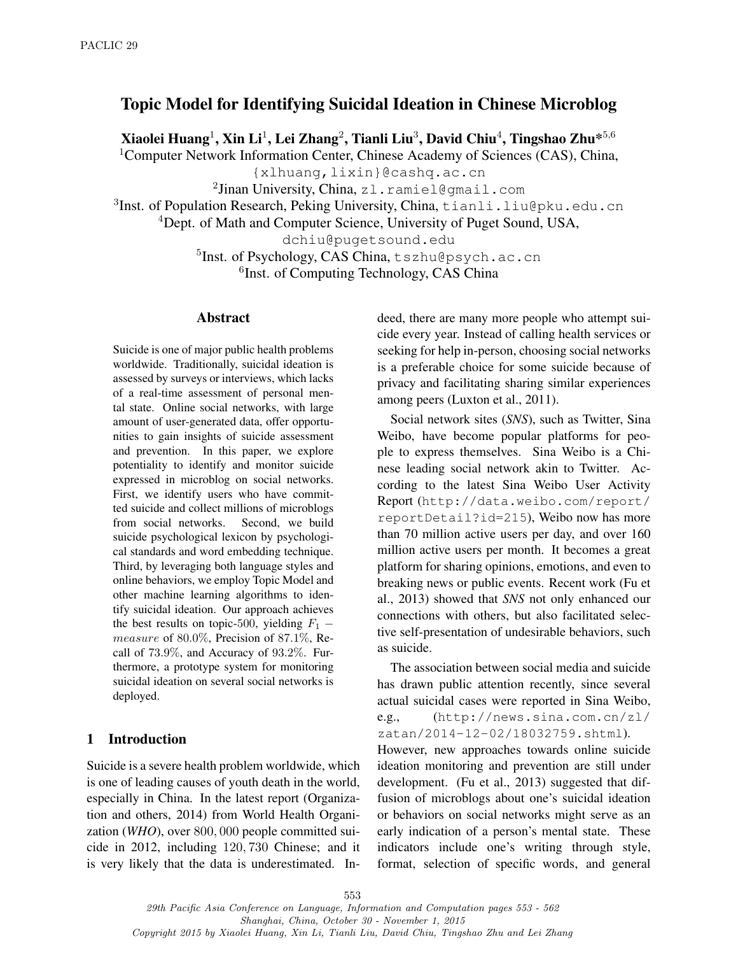# Topic Model for Identifying Suicidal Ideation in Chinese Microblog

Xiaolei Huang $^1$ , Xin Li $^1$ , Lei Zhang $^2$ , Tianli Liu $^3$ , David Chiu $^4$ , Tingshao Zhu $^{\ast 5,6}$ 

<sup>1</sup>Computer Network Information Center, Chinese Academy of Sciences (CAS), China,

{xlhuang,lixin}@cashq.ac.cn

 $^2$ Jinan University, China, zl.ramiel@gmail.com

<sup>3</sup>Inst. of Population Research, Peking University, China, tianli.liu@pku.edu.cn

<sup>4</sup>Dept. of Math and Computer Science, University of Puget Sound, USA,

dchiu@pugetsound.edu

5 Inst. of Psychology, CAS China, tszhu@psych.ac.cn 6 Inst. of Computing Technology, CAS China

#### Abstract

Suicide is one of major public health problems worldwide. Traditionally, suicidal ideation is assessed by surveys or interviews, which lacks of a real-time assessment of personal mental state. Online social networks, with large amount of user-generated data, offer opportunities to gain insights of suicide assessment and prevention. In this paper, we explore potentiality to identify and monitor suicide expressed in microblog on social networks. First, we identify users who have committed suicide and collect millions of microblogs from social networks. Second, we build suicide psychological lexicon by psychological standards and word embedding technique. Third, by leveraging both language styles and online behaviors, we employ Topic Model and other machine learning algorithms to identify suicidal ideation. Our approach achieves the best results on topic-500, yielding  $F_1$  – measure of 80.0%, Precision of 87.1%, Recall of 73.9%, and Accuracy of 93.2%. Furthermore, a prototype system for monitoring suicidal ideation on several social networks is deployed.

### 1 Introduction

Suicide is a severe health problem worldwide, which is one of leading causes of youth death in the world, especially in China. In the latest report (Organization and others, 2014) from World Health Organization (*WHO*), over 800, 000 people committed suicide in 2012, including 120, 730 Chinese; and it is very likely that the data is underestimated. Indeed, there are many more people who attempt suicide every year. Instead of calling health services or seeking for help in-person, choosing social networks is a preferable choice for some suicide because of privacy and facilitating sharing similar experiences among peers (Luxton et al., 2011).

Social network sites (*SNS*), such as Twitter, Sina Weibo, have become popular platforms for people to express themselves. Sina Weibo is a Chinese leading social network akin to Twitter. According to the latest Sina Weibo User Activity Report (http://data.weibo.com/report/ reportDetail?id=215), Weibo now has more than 70 million active users per day, and over 160 million active users per month. It becomes a great platform for sharing opinions, emotions, and even to breaking news or public events. Recent work (Fu et al., 2013) showed that *SNS* not only enhanced our connections with others, but also facilitated selective self-presentation of undesirable behaviors, such as suicide.

The association between social media and suicide has drawn public attention recently, since several actual suicidal cases were reported in Sina Weibo, e.g., (http://news.sina.com.cn/zl/ zatan/2014-12-02/18032759.shtml).

However, new approaches towards online suicide ideation monitoring and prevention are still under development. (Fu et al., 2013) suggested that diffusion of microblogs about one's suicidal ideation or behaviors on social networks might serve as an early indication of a person's mental state. These indicators include one's writing through style, format, selection of specific words, and general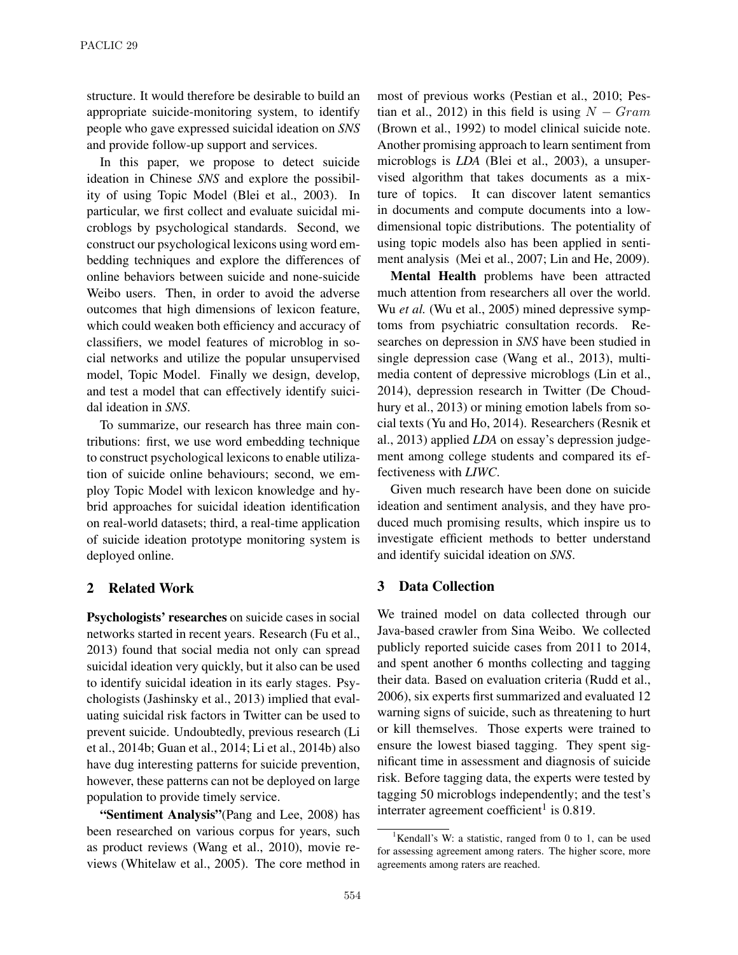structure. It would therefore be desirable to build an appropriate suicide-monitoring system, to identify people who gave expressed suicidal ideation on *SNS* and provide follow-up support and services.

In this paper, we propose to detect suicide ideation in Chinese *SNS* and explore the possibility of using Topic Model (Blei et al., 2003). In particular, we first collect and evaluate suicidal microblogs by psychological standards. Second, we construct our psychological lexicons using word embedding techniques and explore the differences of online behaviors between suicide and none-suicide Weibo users. Then, in order to avoid the adverse outcomes that high dimensions of lexicon feature, which could weaken both efficiency and accuracy of classifiers, we model features of microblog in social networks and utilize the popular unsupervised model, Topic Model. Finally we design, develop, and test a model that can effectively identify suicidal ideation in *SNS*.

To summarize, our research has three main contributions: first, we use word embedding technique to construct psychological lexicons to enable utilization of suicide online behaviours; second, we employ Topic Model with lexicon knowledge and hybrid approaches for suicidal ideation identification on real-world datasets; third, a real-time application of suicide ideation prototype monitoring system is deployed online.

### 2 Related Work

Psychologists' researches on suicide cases in social networks started in recent years. Research (Fu et al., 2013) found that social media not only can spread suicidal ideation very quickly, but it also can be used to identify suicidal ideation in its early stages. Psychologists (Jashinsky et al., 2013) implied that evaluating suicidal risk factors in Twitter can be used to prevent suicide. Undoubtedly, previous research (Li et al., 2014b; Guan et al., 2014; Li et al., 2014b) also have dug interesting patterns for suicide prevention, however, these patterns can not be deployed on large population to provide timely service.

"Sentiment Analysis"(Pang and Lee, 2008) has been researched on various corpus for years, such as product reviews (Wang et al., 2010), movie reviews (Whitelaw et al., 2005). The core method in most of previous works (Pestian et al., 2010; Pestian et al., 2012) in this field is using  $N - Gram$ (Brown et al., 1992) to model clinical suicide note. Another promising approach to learn sentiment from microblogs is *LDA* (Blei et al., 2003), a unsupervised algorithm that takes documents as a mixture of topics. It can discover latent semantics in documents and compute documents into a lowdimensional topic distributions. The potentiality of using topic models also has been applied in sentiment analysis (Mei et al., 2007; Lin and He, 2009).

Mental Health problems have been attracted much attention from researchers all over the world. Wu *et al.* (Wu et al., 2005) mined depressive symptoms from psychiatric consultation records. Researches on depression in *SNS* have been studied in single depression case (Wang et al., 2013), multimedia content of depressive microblogs (Lin et al., 2014), depression research in Twitter (De Choudhury et al., 2013) or mining emotion labels from social texts (Yu and Ho, 2014). Researchers (Resnik et al., 2013) applied *LDA* on essay's depression judgement among college students and compared its effectiveness with *LIWC*.

Given much research have been done on suicide ideation and sentiment analysis, and they have produced much promising results, which inspire us to investigate efficient methods to better understand and identify suicidal ideation on *SNS*.

### 3 Data Collection

We trained model on data collected through our Java-based crawler from Sina Weibo. We collected publicly reported suicide cases from 2011 to 2014, and spent another 6 months collecting and tagging their data. Based on evaluation criteria (Rudd et al., 2006), six experts first summarized and evaluated 12 warning signs of suicide, such as threatening to hurt or kill themselves. Those experts were trained to ensure the lowest biased tagging. They spent significant time in assessment and diagnosis of suicide risk. Before tagging data, the experts were tested by tagging 50 microblogs independently; and the test's interrater agreement coefficient<sup>1</sup> is  $0.819$ .

<sup>&</sup>lt;sup>1</sup>Kendall's W: a statistic, ranged from 0 to 1, can be used for assessing agreement among raters. The higher score, more agreements among raters are reached.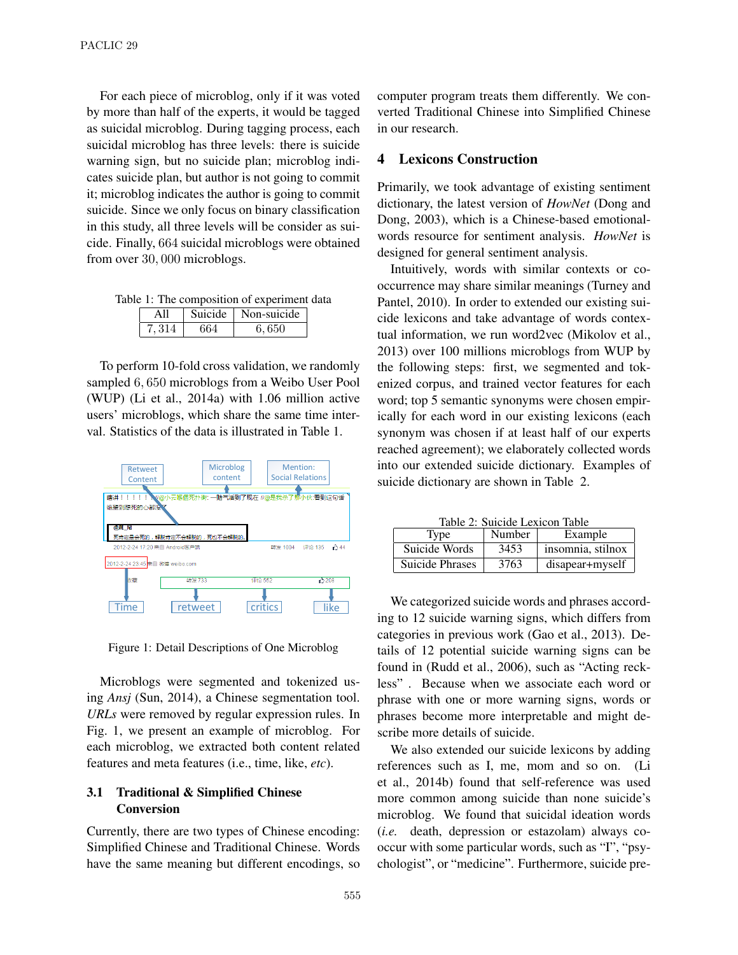For each piece of microblog, only if it was voted by more than half of the experts, it would be tagged as suicidal microblog. During tagging process, each suicidal microblog has three levels: there is suicide warning sign, but no suicide plan; microblog indicates suicide plan, but author is not going to commit it; microblog indicates the author is going to commit suicide. Since we only focus on binary classification in this study, all three levels will be consider as suicide. Finally, 664 suicidal microblogs were obtained from over 30, 000 microblogs.

Table 1: The composition of experiment data

|        | Suicide | Non-suicide |  |
|--------|---------|-------------|--|
| $-314$ |         | 6,650       |  |

To perform 10-fold cross validation, we randomly sampled 6, 650 microblogs from a Weibo User Pool (WUP) (Li et al., 2014a) with 1.06 million active users' microblogs, which share the same time interval. Statistics of the data is illustrated in Table 1.



Figure 1: Detail Descriptions of One Microblog

Microblogs were segmented and tokenized using *Ansj* (Sun, 2014), a Chinese segmentation tool. *URLs* were removed by regular expression rules. In Fig. 1, we present an example of microblog. For each microblog, we extracted both content related features and meta features (i.e., time, like, *etc*).

# 3.1 Traditional & Simplified Chinese Conversion

Currently, there are two types of Chinese encoding: Simplified Chinese and Traditional Chinese. Words have the same meaning but different encodings, so computer program treats them differently. We converted Traditional Chinese into Simplified Chinese in our research.

### 4 Lexicons Construction

Primarily, we took advantage of existing sentiment dictionary, the latest version of *HowNet* (Dong and Dong, 2003), which is a Chinese-based emotionalwords resource for sentiment analysis. *HowNet* is designed for general sentiment analysis.

Intuitively, words with similar contexts or cooccurrence may share similar meanings (Turney and Pantel, 2010). In order to extended our existing suicide lexicons and take advantage of words contextual information, we run word2vec (Mikolov et al., 2013) over 100 millions microblogs from WUP by the following steps: first, we segmented and tokenized corpus, and trained vector features for each word; top 5 semantic synonyms were chosen empirically for each word in our existing lexicons (each synonym was chosen if at least half of our experts reached agreement); we elaborately collected words into our extended suicide dictionary. Examples of suicide dictionary are shown in Table 2.

Table 2: Suicide Lexicon Table

| Type            | Number | Example           |  |  |  |
|-----------------|--------|-------------------|--|--|--|
| Suicide Words   | 3453   | insomnia, stilnox |  |  |  |
| Suicide Phrases | 3763   | disapear+myself   |  |  |  |

We categorized suicide words and phrases according to 12 suicide warning signs, which differs from categories in previous work (Gao et al., 2013). Details of 12 potential suicide warning signs can be found in (Rudd et al., 2006), such as "Acting reckless" . Because when we associate each word or phrase with one or more warning signs, words or phrases become more interpretable and might describe more details of suicide.

We also extended our suicide lexicons by adding references such as I, me, mom and so on. (Li et al., 2014b) found that self-reference was used more common among suicide than none suicide's microblog. We found that suicidal ideation words (*i.e.* death, depression or estazolam) always cooccur with some particular words, such as "I", "psychologist", or "medicine". Furthermore, suicide pre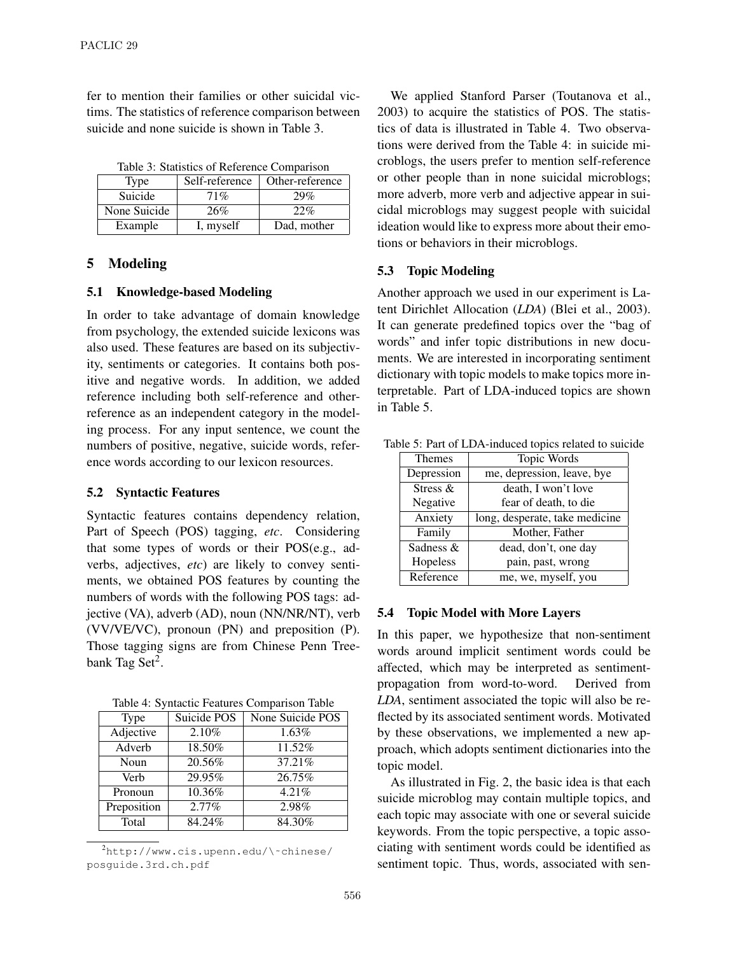fer to mention their families or other suicidal victims. The statistics of reference comparison between suicide and none suicide is shown in Table 3.

Table 3: Statistics of Reference Comparison

| Type         | Self-reference | Other-reference |
|--------------|----------------|-----------------|
| Suicide      | 71%            | 29%             |
| None Suicide | 26%            | 22%             |
| Example      | I, myself      | Dad, mother     |

#### 5 Modeling

#### 5.1 Knowledge-based Modeling

In order to take advantage of domain knowledge from psychology, the extended suicide lexicons was also used. These features are based on its subjectivity, sentiments or categories. It contains both positive and negative words. In addition, we added reference including both self-reference and otherreference as an independent category in the modeling process. For any input sentence, we count the numbers of positive, negative, suicide words, reference words according to our lexicon resources.

#### 5.2 Syntactic Features

Syntactic features contains dependency relation, Part of Speech (POS) tagging, *etc*. Considering that some types of words or their POS(e.g., adverbs, adjectives, *etc*) are likely to convey sentiments, we obtained POS features by counting the numbers of words with the following POS tags: adjective (VA), adverb (AD), noun (NN/NR/NT), verb (VV/VE/VC), pronoun (PN) and preposition (P). Those tagging signs are from Chinese Penn Treebank Tag Set<sup>2</sup>.

Table 4: Syntactic Features Comparison Table

| <b>Type</b> | Suicide POS | None Suicide POS     |  |  |
|-------------|-------------|----------------------|--|--|
| Adjective   | 2.10%       | 1.63%                |  |  |
| Adverb      | 18.50%      | $\overline{11.52\%}$ |  |  |
| Noun        | 20.56%      | 37.21%               |  |  |
| Verb        | 29.95%      | 26.75%               |  |  |
| Pronoun     | 10.36%      | 4.21%                |  |  |
| Preposition | $2.77\%$    | 2.98%                |  |  |
| Total       | 84.24%      | 84.30%               |  |  |

 $^{2}$ http://www.cis.upenn.edu/\~chinese/ posguide.3rd.ch.pdf

We applied Stanford Parser (Toutanova et al., 2003) to acquire the statistics of POS. The statistics of data is illustrated in Table 4. Two observations were derived from the Table 4: in suicide microblogs, the users prefer to mention self-reference or other people than in none suicidal microblogs; more adverb, more verb and adjective appear in suicidal microblogs may suggest people with suicidal ideation would like to express more about their emotions or behaviors in their microblogs.

#### 5.3 Topic Modeling

Another approach we used in our experiment is Latent Dirichlet Allocation (*LDA*) (Blei et al., 2003). It can generate predefined topics over the "bag of words" and infer topic distributions in new documents. We are interested in incorporating sentiment dictionary with topic models to make topics more interpretable. Part of LDA-induced topics are shown in Table 5.

| Themes                        | Topic Words                    |  |
|-------------------------------|--------------------------------|--|
| Depression                    | me, depression, leave, bye     |  |
| Stress &                      | death, I won't love            |  |
| Negative                      | fear of death, to die          |  |
| Anxiety                       | long, desperate, take medicine |  |
| Family                        | Mother, Father                 |  |
| Sadness &                     | dead, don't, one day           |  |
| Hopeless<br>pain, past, wrong |                                |  |
| Reference                     | me, we, myself, you            |  |

Table 5: Part of LDA-induced topics related to suicide

#### 5.4 Topic Model with More Layers

In this paper, we hypothesize that non-sentiment words around implicit sentiment words could be affected, which may be interpreted as sentimentpropagation from word-to-word. Derived from *LDA*, sentiment associated the topic will also be reflected by its associated sentiment words. Motivated by these observations, we implemented a new approach, which adopts sentiment dictionaries into the topic model.

As illustrated in Fig. 2, the basic idea is that each suicide microblog may contain multiple topics, and each topic may associate with one or several suicide keywords. From the topic perspective, a topic associating with sentiment words could be identified as sentiment topic. Thus, words, associated with sen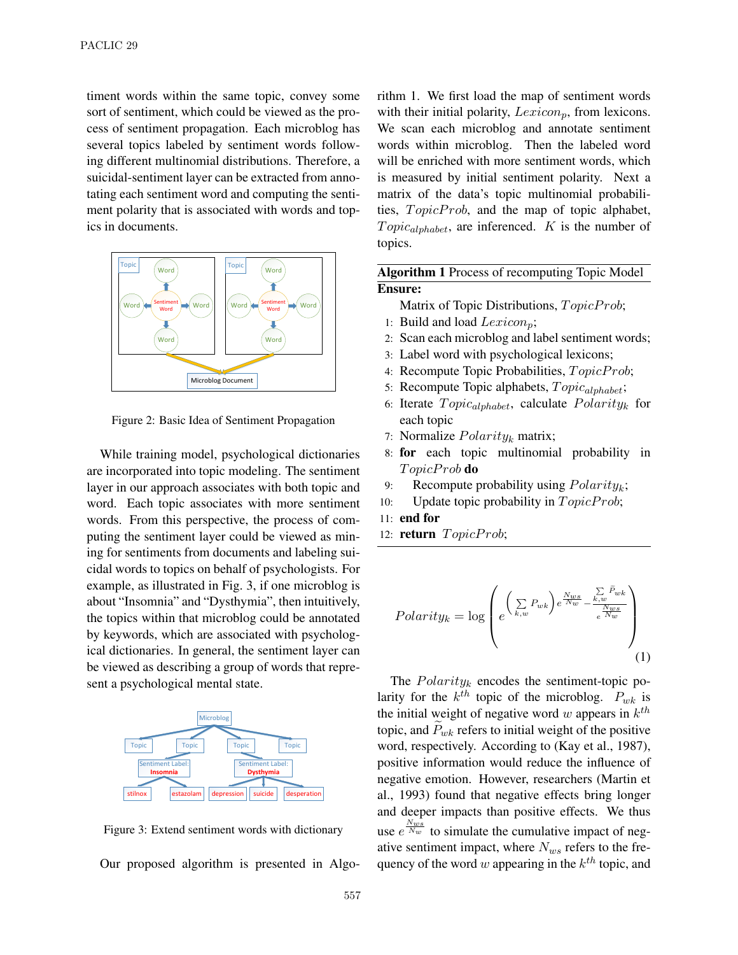timent words within the same topic, convey some sort of sentiment, which could be viewed as the process of sentiment propagation. Each microblog has several topics labeled by sentiment words following different multinomial distributions. Therefore, a suicidal-sentiment layer can be extracted from annotating each sentiment word and computing the sentiment polarity that is associated with words and topics in documents.



Figure 2: Basic Idea of Sentiment Propagation

While training model, psychological dictionaries are incorporated into topic modeling. The sentiment layer in our approach associates with both topic and word. Each topic associates with more sentiment words. From this perspective, the process of computing the sentiment layer could be viewed as mining for sentiments from documents and labeling suicidal words to topics on behalf of psychologists. For example, as illustrated in Fig. 3, if one microblog is about "Insomnia" and "Dysthymia", then intuitively, the topics within that microblog could be annotated by keywords, which are associated with psychological dictionaries. In general, the sentiment layer can be viewed as describing a group of words that represent a psychological mental state.





rithm 1. We first load the map of sentiment words with their initial polarity,  $Lexicon<sub>p</sub>$ , from lexicons. We scan each microblog and annotate sentiment words within microblog. Then the labeled word will be enriched with more sentiment words, which is measured by initial sentiment polarity. Next a matrix of the data's topic multinomial probabilities,  $TopicProb$ , and the map of topic alphabet,  $Topic_{alphabet}$ , are inferenced. K is the number of topics.

# Algorithm 1 Process of recomputing Topic Model Ensure:

Matrix of Topic Distributions, TopicProb;

- 1: Build and load  $Lexicon_{p};$
- 2: Scan each microblog and label sentiment words;
- 3: Label word with psychological lexicons;
- 4: Recompute Topic Probabilities, TopicProb;
- 5: Recompute Topic alphabets,  $Topic_{alphabet}$ ;
- 6: Iterate  $Topic_{alphabet}$ , calculate  $Polarity_k$  for each topic
- 7: Normalize  $Polarity_k$  matrix;
- 8: for each topic multinomial probability in TopicProb **do**
- 9: Recompute probability using  $Polarity_k$ ;
- 10: Update topic probability in  $TopicProb$ ;
- 11: end for
- 12: return  $TopicProb$ ;

$$
Polarity_k = \log \left( e^{\left(\sum_{k,w} P_{wk}\right) e^{\frac{N_{ws}}{N_w} - \frac{\sum\limits_{k,w} \tilde{P}_{wk}}{e^{\frac{N_{ws}}{N_w}}}} \right)} \right)
$$
(1)

The  $Polarity_k$  encodes the sentiment-topic polarity for the  $k^{th}$  topic of the microblog.  $P_{wk}$  is the initial weight of negative word w appears in  $k^{th}$ topic, and  $\dot{P}_{wk}$  refers to initial weight of the positive word, respectively. According to (Kay et al., 1987), positive information would reduce the influence of negative emotion. However, researchers (Martin et al., 1993) found that negative effects bring longer and deeper impacts than positive effects. We thus use  $e^{\frac{N_{ws}}{N_w}}$  to simulate the cumulative impact of negative sentiment impact, where  $N_{ws}$  refers to the frequency of the word w appearing in the  $k^{th}$  topic, and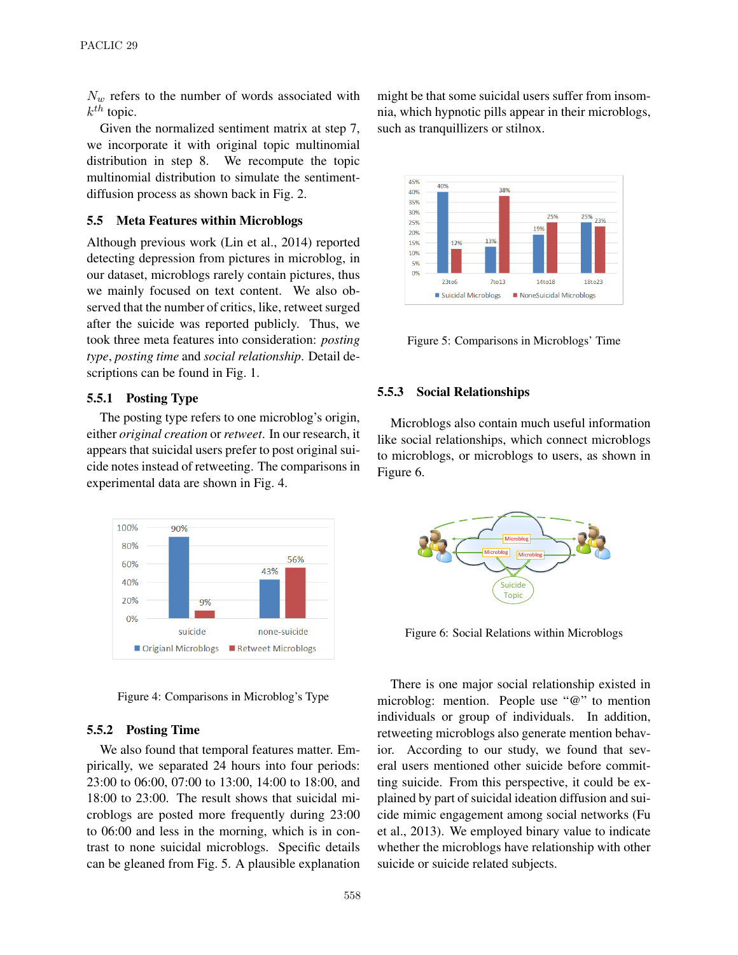$N_w$  refers to the number of words associated with  $k^{th}$  topic.

Given the normalized sentiment matrix at step 7, we incorporate it with original topic multinomial distribution in step 8. We recompute the topic multinomial distribution to simulate the sentimentdiffusion process as shown back in Fig. 2.

### 5.5 Meta Features within Microblogs

Although previous work (Lin et al., 2014) reported detecting depression from pictures in microblog, in our dataset, microblogs rarely contain pictures, thus we mainly focused on text content. We also observed that the number of critics, like, retweet surged after the suicide was reported publicly. Thus, we took three meta features into consideration: *posting type*, *posting time* and *social relationship*. Detail descriptions can be found in Fig. 1.

### 5.5.1 Posting Type

The posting type refers to one microblog's origin, either *original creation* or *retweet*. In our research, it appears that suicidal users prefer to post original suicide notes instead of retweeting. The comparisons in experimental data are shown in Fig. 4.



Figure 4: Comparisons in Microblog's Type

### 5.5.2 Posting Time

We also found that temporal features matter. Empirically, we separated 24 hours into four periods: 23:00 to 06:00, 07:00 to 13:00, 14:00 to 18:00, and 18:00 to 23:00. The result shows that suicidal microblogs are posted more frequently during 23:00 to 06:00 and less in the morning, which is in contrast to none suicidal microblogs. Specific details can be gleaned from Fig. 5. A plausible explanation might be that some suicidal users suffer from insomnia, which hypnotic pills appear in their microblogs, such as tranquillizers or stilnox.



Figure 5: Comparisons in Microblogs' Time

#### 5.5.3 Social Relationships

Microblogs also contain much useful information like social relationships, which connect microblogs to microblogs, or microblogs to users, as shown in Figure 6.



Figure 6: Social Relations within Microblogs

There is one major social relationship existed in microblog: mention. People use "@" to mention individuals or group of individuals. In addition, retweeting microblogs also generate mention behavior. According to our study, we found that several users mentioned other suicide before committing suicide. From this perspective, it could be explained by part of suicidal ideation diffusion and suicide mimic engagement among social networks (Fu et al., 2013). We employed binary value to indicate whether the microblogs have relationship with other suicide or suicide related subjects.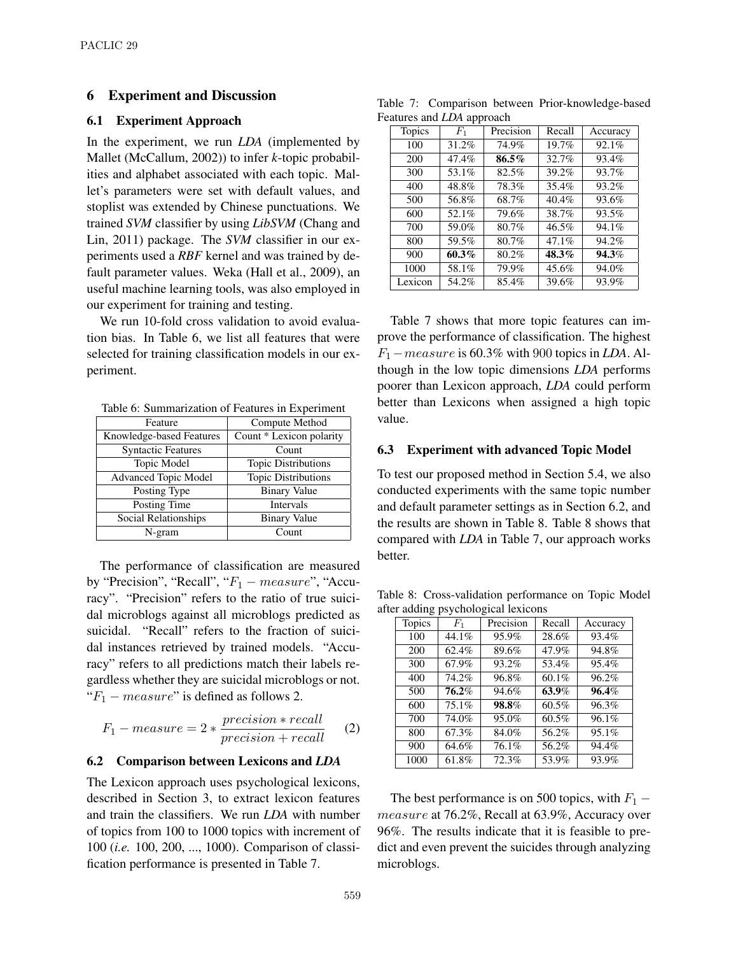### 6 Experiment and Discussion

#### 6.1 Experiment Approach

In the experiment, we run *LDA* (implemented by Mallet (McCallum, 2002)) to infer *k*-topic probabilities and alphabet associated with each topic. Mallet's parameters were set with default values, and stoplist was extended by Chinese punctuations. We trained *SVM* classifier by using *LibSVM* (Chang and Lin, 2011) package. The *SVM* classifier in our experiments used a *RBF* kernel and was trained by default parameter values. Weka (Hall et al., 2009), an useful machine learning tools, was also employed in our experiment for training and testing.

We run 10-fold cross validation to avoid evaluation bias. In Table 6, we list all features that were selected for training classification models in our experiment.

Table 6: Summarization of Features in Experiment

| Feature                   | Compute Method             |  |
|---------------------------|----------------------------|--|
| Knowledge-based Features  | Count * Lexicon polarity   |  |
| <b>Syntactic Features</b> | Count                      |  |
| Topic Model               | <b>Topic Distributions</b> |  |
| Advanced Topic Model      | Topic Distributions        |  |
| Posting Type              | <b>Binary Value</b>        |  |
| Posting Time              | Intervals                  |  |
| Social Relationships      | <b>Binary Value</b>        |  |
| N-gram                    | Count                      |  |

The performance of classification are measured by "Precision", "Recall", " $F_1$  – measure", "Accuracy". "Precision" refers to the ratio of true suicidal microblogs against all microblogs predicted as suicidal. "Recall" refers to the fraction of suicidal instances retrieved by trained models. "Accuracy" refers to all predictions match their labels regardless whether they are suicidal microblogs or not. " $F_1$  – measure" is defined as follows 2.

$$
F_1 - measure = 2 * \frac{precision * recall}{precision + recall}
$$
 (2)

#### 6.2 Comparison between Lexicons and *LDA*

The Lexicon approach uses psychological lexicons, described in Section 3, to extract lexicon features and train the classifiers. We run *LDA* with number of topics from 100 to 1000 topics with increment of 100 (*i.e.* 100, 200, ..., 1000). Comparison of classification performance is presented in Table 7.

Table 7: Comparison between Prior-knowledge-based Features and *LDA* approach

| <b>Topics</b> | $F_1$ | Precision | Recall | Accuracy |
|---------------|-------|-----------|--------|----------|
| 100           | 31.2% | 74.9%     | 19.7%  | 92.1%    |
| 200           | 47.4% | $86.5\%$  | 32.7%  | 93.4%    |
| 300           | 53.1% | 82.5%     | 39.2%  | 93.7%    |
| 400           | 48.8% | 78.3%     | 35.4%  | 93.2%    |
| 500           | 56.8% | 68.7%     | 40.4%  | 93.6%    |
| 600           | 52.1% | 79.6%     | 38.7%  | 93.5%    |
| 700           | 59.0% | 80.7%     | 46.5%  | 94.1%    |
| 800           | 59.5% | 80.7%     | 47.1%  | 94.2%    |
| 900           | 60.3% | 80.2%     | 48.3%  | 94.3%    |
| 1000          | 58.1% | 79.9%     | 45.6%  | 94.0%    |
| Lexicon       | 54.2% | 85.4%     | 39.6%  | 93.9%    |

Table 7 shows that more topic features can improve the performance of classification. The highest F1−measure is 60.3% with 900 topics in *LDA*. Although in the low topic dimensions *LDA* performs poorer than Lexicon approach, *LDA* could perform better than Lexicons when assigned a high topic value.

#### 6.3 Experiment with advanced Topic Model

To test our proposed method in Section 5.4, we also conducted experiments with the same topic number and default parameter settings as in Section 6.2, and the results are shown in Table 8. Table 8 shows that compared with *LDA* in Table 7, our approach works better.

Table 8: Cross-validation performance on Topic Model after adding psychological lexicons

| <b>Topics</b> | $F_1$ | Precision | Recall | Accuracy |
|---------------|-------|-----------|--------|----------|
| 100           | 44.1% | 95.9%     | 28.6%  | 93.4%    |
| 200           | 62.4% | 89.6%     | 47.9%  | 94.8%    |
| 300           | 67.9% | 93.2%     | 53.4%  | 95.4%    |
| 400           | 74.2% | 96.8%     | 60.1%  | 96.2%    |
| 500           | 76.2% | 94.6%     | 63.9%  | 96.4%    |
| 600           | 75.1% | 98.8%     | 60.5%  | 96.3%    |
| 700           | 74.0% | 95.0%     | 60.5%  | 96.1%    |
| 800           | 67.3% | 84.0%     | 56.2%  | 95.1%    |
| 900           | 64.6% | 76.1%     | 56.2%  | 94.4%    |
| 1000          | 61.8% | 72.3%     | 53.9%  | 93.9%    |

The best performance is on 500 topics, with  $F_1$  – measure at 76.2%, Recall at 63.9%, Accuracy over 96%. The results indicate that it is feasible to predict and even prevent the suicides through analyzing microblogs.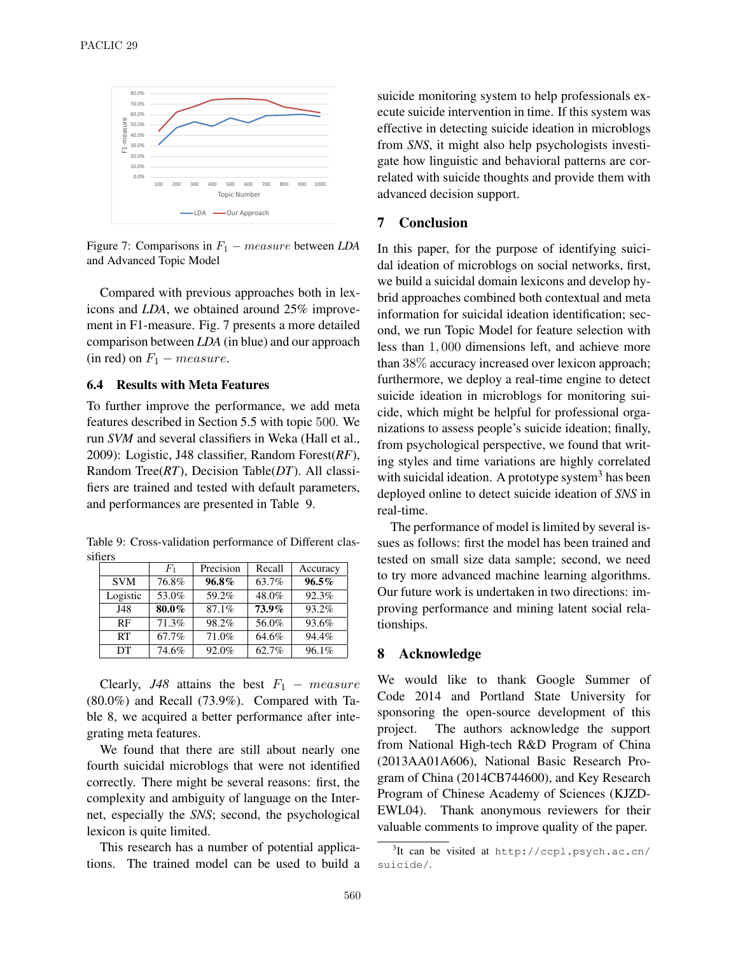

Figure 7: Comparisons in  $F_1$  – measure between *LDA* and Advanced Topic Model

Compared with previous approaches both in lexicons and *LDA*, we obtained around 25% improvement in F1-measure. Fig. 7 presents a more detailed comparison between *LDA* (in blue) and our approach (in red) on  $F_1$  – measure.

### 6.4 Results with Meta Features

To further improve the performance, we add meta features described in Section 5.5 with topic 500. We run *SVM* and several classifiers in Weka (Hall et al., 2009): Logistic, J48 classifier, Random Forest(*RF*), Random Tree(*RT*), Decision Table(*DT*). All classifiers are trained and tested with default parameters, and performances are presented in Table 9.

Table 9: Cross-validation performance of Different classifiers

|            | $F_{1}$ | Precision | Recall | Accuracy |
|------------|---------|-----------|--------|----------|
| <b>SVM</b> | 76.8%   | $96.8\%$  | 63.7%  | $96.5\%$ |
| Logistic   | 53.0%   | 59.2%     | 48.0%  | 92.3%    |
| J48        | 80.0%   | 87.1%     | 73.9%  | 93.2%    |
| <b>RF</b>  | 71.3%   | 98.2%     | 56.0%  | 93.6%    |
| RT         | 67.7%   | 71.0%     | 64.6%  | 94.4%    |
| DT         | 74.6%   | 92.0%     | 62.7%  | 96.1%    |

Clearly, *J48* attains the best  $F_1$  – measure (80.0%) and Recall (73.9%). Compared with Table 8, we acquired a better performance after integrating meta features.

We found that there are still about nearly one fourth suicidal microblogs that were not identified correctly. There might be several reasons: first, the complexity and ambiguity of language on the Internet, especially the *SNS*; second, the psychological lexicon is quite limited.

This research has a number of potential applications. The trained model can be used to build a suicide monitoring system to help professionals execute suicide intervention in time. If this system was effective in detecting suicide ideation in microblogs from *SNS*, it might also help psychologists investigate how linguistic and behavioral patterns are correlated with suicide thoughts and provide them with advanced decision support.

#### 7 Conclusion

In this paper, for the purpose of identifying suicidal ideation of microblogs on social networks, first, we build a suicidal domain lexicons and develop hybrid approaches combined both contextual and meta information for suicidal ideation identification; second, we run Topic Model for feature selection with less than 1, 000 dimensions left, and achieve more than 38% accuracy increased over lexicon approach; furthermore, we deploy a real-time engine to detect suicide ideation in microblogs for monitoring suicide, which might be helpful for professional organizations to assess people's suicide ideation; finally, from psychological perspective, we found that writing styles and time variations are highly correlated with suicidal ideation. A prototype system $3$  has been deployed online to detect suicide ideation of *SNS* in real-time.

The performance of model is limited by several issues as follows: first the model has been trained and tested on small size data sample; second, we need to try more advanced machine learning algorithms. Our future work is undertaken in two directions: improving performance and mining latent social relationships.

#### 8 Acknowledge

We would like to thank Google Summer of Code 2014 and Portland State University for sponsoring the open-source development of this project. The authors acknowledge the support from National High-tech R&D Program of China (2013AA01A606), National Basic Research Program of China (2014CB744600), and Key Research Program of Chinese Academy of Sciences (KJZD-EWL04). Thank anonymous reviewers for their valuable comments to improve quality of the paper.

<sup>&</sup>lt;sup>3</sup>It can be visited at http://ccpl.psych.ac.cn/ suicide/.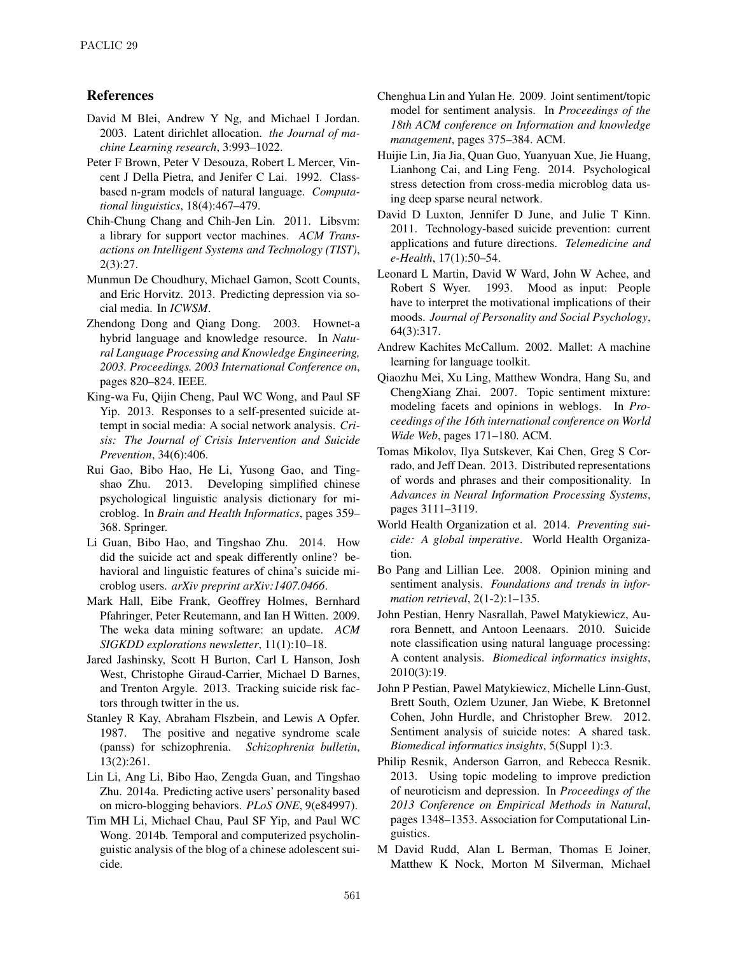## References

- David M Blei, Andrew Y Ng, and Michael I Jordan. 2003. Latent dirichlet allocation. *the Journal of machine Learning research*, 3:993–1022.
- Peter F Brown, Peter V Desouza, Robert L Mercer, Vincent J Della Pietra, and Jenifer C Lai. 1992. Classbased n-gram models of natural language. *Computational linguistics*, 18(4):467–479.
- Chih-Chung Chang and Chih-Jen Lin. 2011. Libsvm: a library for support vector machines. *ACM Transactions on Intelligent Systems and Technology (TIST)*, 2(3):27.
- Munmun De Choudhury, Michael Gamon, Scott Counts, and Eric Horvitz. 2013. Predicting depression via social media. In *ICWSM*.
- Zhendong Dong and Qiang Dong. 2003. Hownet-a hybrid language and knowledge resource. In *Natural Language Processing and Knowledge Engineering, 2003. Proceedings. 2003 International Conference on*, pages 820–824. IEEE.
- King-wa Fu, Qijin Cheng, Paul WC Wong, and Paul SF Yip. 2013. Responses to a self-presented suicide attempt in social media: A social network analysis. *Crisis: The Journal of Crisis Intervention and Suicide Prevention*, 34(6):406.
- Rui Gao, Bibo Hao, He Li, Yusong Gao, and Tingshao Zhu. 2013. Developing simplified chinese psychological linguistic analysis dictionary for microblog. In *Brain and Health Informatics*, pages 359– 368. Springer.
- Li Guan, Bibo Hao, and Tingshao Zhu. 2014. How did the suicide act and speak differently online? behavioral and linguistic features of china's suicide microblog users. *arXiv preprint arXiv:1407.0466*.
- Mark Hall, Eibe Frank, Geoffrey Holmes, Bernhard Pfahringer, Peter Reutemann, and Ian H Witten. 2009. The weka data mining software: an update. *ACM SIGKDD explorations newsletter*, 11(1):10–18.
- Jared Jashinsky, Scott H Burton, Carl L Hanson, Josh West, Christophe Giraud-Carrier, Michael D Barnes, and Trenton Argyle. 2013. Tracking suicide risk factors through twitter in the us.
- Stanley R Kay, Abraham Flszbein, and Lewis A Opfer. 1987. The positive and negative syndrome scale (panss) for schizophrenia. *Schizophrenia bulletin*, 13(2):261.
- Lin Li, Ang Li, Bibo Hao, Zengda Guan, and Tingshao Zhu. 2014a. Predicting active users' personality based on micro-blogging behaviors. *PLoS ONE*, 9(e84997).
- Tim MH Li, Michael Chau, Paul SF Yip, and Paul WC Wong. 2014b. Temporal and computerized psycholinguistic analysis of the blog of a chinese adolescent suicide.
- Chenghua Lin and Yulan He. 2009. Joint sentiment/topic model for sentiment analysis. In *Proceedings of the 18th ACM conference on Information and knowledge management*, pages 375–384. ACM.
- Huijie Lin, Jia Jia, Quan Guo, Yuanyuan Xue, Jie Huang, Lianhong Cai, and Ling Feng. 2014. Psychological stress detection from cross-media microblog data using deep sparse neural network.
- David D Luxton, Jennifer D June, and Julie T Kinn. 2011. Technology-based suicide prevention: current applications and future directions. *Telemedicine and e-Health*, 17(1):50–54.
- Leonard L Martin, David W Ward, John W Achee, and Robert S Wyer. 1993. Mood as input: People have to interpret the motivational implications of their moods. *Journal of Personality and Social Psychology*, 64(3):317.
- Andrew Kachites McCallum. 2002. Mallet: A machine learning for language toolkit.
- Qiaozhu Mei, Xu Ling, Matthew Wondra, Hang Su, and ChengXiang Zhai. 2007. Topic sentiment mixture: modeling facets and opinions in weblogs. In *Proceedings of the 16th international conference on World Wide Web*, pages 171–180. ACM.
- Tomas Mikolov, Ilya Sutskever, Kai Chen, Greg S Corrado, and Jeff Dean. 2013. Distributed representations of words and phrases and their compositionality. In *Advances in Neural Information Processing Systems*, pages 3111–3119.
- World Health Organization et al. 2014. *Preventing suicide: A global imperative*. World Health Organization.
- Bo Pang and Lillian Lee. 2008. Opinion mining and sentiment analysis. *Foundations and trends in information retrieval*, 2(1-2):1–135.
- John Pestian, Henry Nasrallah, Pawel Matykiewicz, Aurora Bennett, and Antoon Leenaars. 2010. Suicide note classification using natural language processing: A content analysis. *Biomedical informatics insights*, 2010(3):19.
- John P Pestian, Pawel Matykiewicz, Michelle Linn-Gust, Brett South, Ozlem Uzuner, Jan Wiebe, K Bretonnel Cohen, John Hurdle, and Christopher Brew. 2012. Sentiment analysis of suicide notes: A shared task. *Biomedical informatics insights*, 5(Suppl 1):3.
- Philip Resnik, Anderson Garron, and Rebecca Resnik. 2013. Using topic modeling to improve prediction of neuroticism and depression. In *Proceedings of the 2013 Conference on Empirical Methods in Natural*, pages 1348–1353. Association for Computational Linguistics.
- M David Rudd, Alan L Berman, Thomas E Joiner, Matthew K Nock, Morton M Silverman, Michael